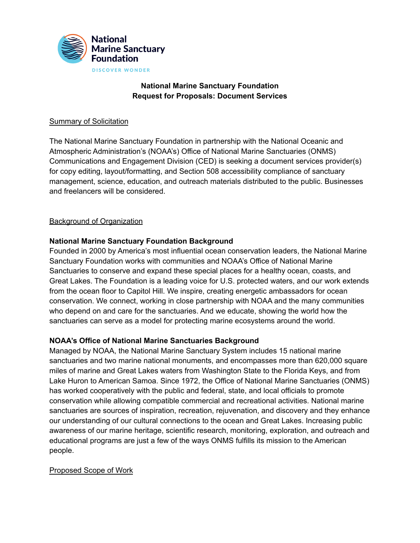

# **National Marine Sanctuary Foundation Request for Proposals: Document Services**

## Summary of Solicitation

The National Marine Sanctuary Foundation in partnership with the National Oceanic and Atmospheric Administration's (NOAA's) Office of National Marine Sanctuaries (ONMS) Communications and Engagement Division (CED) is seeking a document services provider(s) for copy editing, layout/formatting, and Section 508 accessibility compliance of sanctuary management, science, education, and outreach materials distributed to the public. Businesses and freelancers will be considered.

### Background of Organization

# **National Marine Sanctuary Foundation Background**

Founded in 2000 by America's most influential ocean conservation leaders, the National Marine Sanctuary Foundation works with communities and NOAA's Office of National Marine Sanctuaries to conserve and expand these special places for a healthy ocean, coasts, and Great Lakes. The Foundation is a leading voice for U.S. protected waters, and our work extends from the ocean floor to Capitol Hill. We inspire, creating energetic ambassadors for ocean conservation. We connect, working in close partnership with NOAA and the many communities who depend on and care for the sanctuaries. And we educate, showing the world how the sanctuaries can serve as a model for protecting marine ecosystems around the world.

### **NOAA's Office of National Marine Sanctuaries Background**

Managed by NOAA, the National Marine [Sanctuary](https://sanctuaries.noaa.gov) System includes 15 national marine sanctuaries and two marine national monuments, and encompasses more than 620,000 square miles of marine and Great Lakes waters from Washington State to the Florida Keys, and from Lake Huron to American Samoa. Since 1972, the Office of National Marine Sanctuaries (ONMS) has worked cooperatively with the public and federal, state, and local officials to promote conservation while allowing compatible commercial and recreational activities. National marine sanctuaries are sources of inspiration, recreation, rejuvenation, and discovery and they enhance our understanding of our cultural connections to the ocean and Great Lakes. Increasing public awareness of our marine heritage, scientific research, monitoring, exploration, and outreach and educational programs are just a few of the ways ONMS fulfills its mission to the American people.

### Proposed Scope of Work